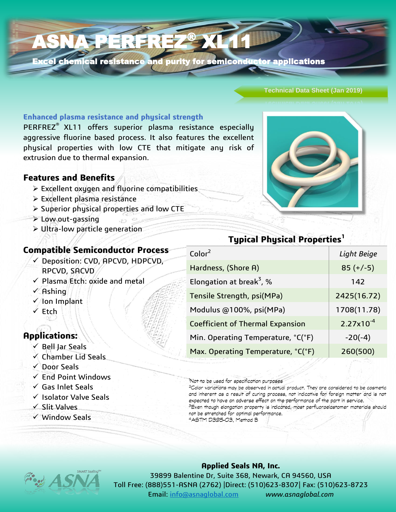# ASNA PERFREZ® XL11

Excel chemical resistance and purity for semiconductor applications

#### **Technical Data Sheet (Jan 2019)**

#### **Enhanced plasma resistance and physical strength**

PERFREZ® XL11 offers superior plasma resistance especially aggressive fluorine based process. It also features the excellent physical properties with low CTE that mitigate any risk of extrusion due to thermal expansion.

#### **Features and Benefits**

- $\triangleright$  Excellent oxygen and fluorine compatibilities
- Excellent plasma resistance
- $\triangleright$  Superior physical properties and low CTE
- Low out-gassing
- Ultra-low particle generation

### **Compatible Semiconductor Process**

- Deposition: CVD, APCVD, HDPCVD, RPCVD, SACVD
- $\checkmark$  Plasma Etch: oxide and metal
- $\sqrt{A}$ shing
- Ion Implant
- $\checkmark$  Etch

## **Applications:**

- $\checkmark$  Bell Jar Seals
- $\checkmark$  Chamber Lid Seals
- Door Seals
- $\checkmark$  End Point Windows
- $\checkmark$  Gas Inlet Seals
- $\checkmark$  Isolator Valve Seals
- $\sqrt{\frac{1}{1}}$  Slit Valves
- $\checkmark$  Window Seals

| Color <sup>2</sup>                      | Light Beige    |
|-----------------------------------------|----------------|
| Hardness, (Shore A)                     | $85 (+/-5)$    |
| Elongation at break <sup>3</sup> , %    | 142            |
| Tensile Strength, psi(MPa)              | 2425(16.72)    |
| Modulus @100%, psi(MPa)                 | 1708(11.78)    |
| <b>Coefficient of Thermal Expansion</b> | $2.27x10^{-4}$ |
| Min. Operating Temperature, °C(°F)      | $-20(-4)$      |
| Max. Operating Temperature, °C(°F)      | 260(500)       |
|                                         |                |

'Not to be used for specification purposes

<sup>2</sup>Color variations may be observed in actual product. They are considered to be cosmetic and inherent as a result of curing process, not indicative for foreign matter and is not expected to have an adverse effect on the performance of the part in service. <sup>3</sup>Even though elongation property is indicated, most perfluoroelastomer materials should not be stretched for optimal performance. 4ASTM D395-03, Method B



#### **Applied Seals NA, Inc.**

39899 Balentine Dr, Suite 368, Newark, CA 94560, USA Toll Free: (888)551-ASNA (2762) |Direct: (510)623-8307| Fax: (510)623-8723 Email: [info@asnaglobal.com](mailto:info@asnaglobal.com) *www.asnaglobal.com*

## **Typical Physical Properties<sup>1</sup>**